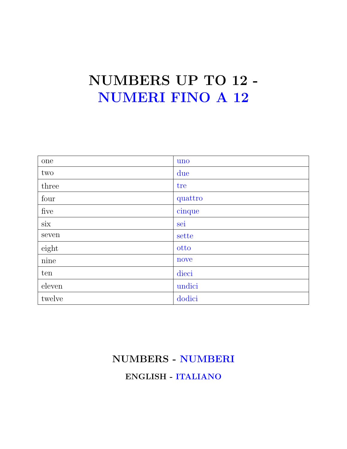# NUMBERS UP TO 12 - NUMERI FINO A 12

| one            | uno     |
|----------------|---------|
| two            | due     |
| three          | tre     |
| four           | quattro |
| five           | cinque  |
| $\mathrm{six}$ | sei     |
| seven          | sette   |
| eight          | otto    |
| $\rm nine$     | nove    |
| ten            | dieci   |
| eleven         | undici  |
| twelve         | dodici  |

### NUMBERS - NUMBERI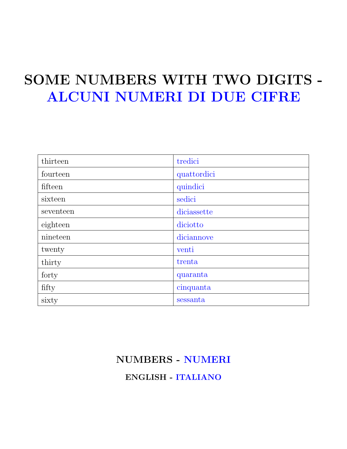# SOME NUMBERS WITH TWO DIGITS - ALCUNI NUMERI DI DUE CIFRE

| thirteen  | tredici     |
|-----------|-------------|
| fourteen  | quattordici |
| fifteen   | quindici    |
| sixteen   | sedici      |
| seventeen | diciassette |
| eighteen  | diciotto    |
| nineteen  | diciannove  |
| twenty    | venti       |
| thirty    | trenta      |
| forty     | quaranta    |
| fifty     | cinquanta   |
| sixty     | sessanta    |

### NUMBERS - NUMERI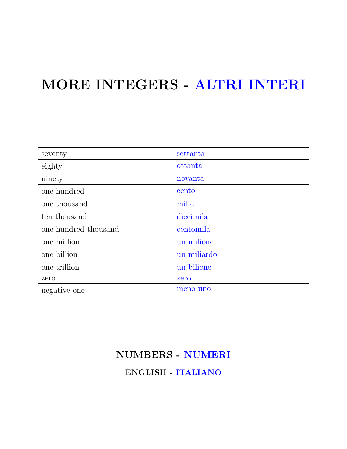### MORE INTEGERS - ALTRI INTERI

| seventy              | settanta    |
|----------------------|-------------|
| eighty               | ottanta     |
| ninety               | novanta     |
| one hundred          | cento       |
| one thousand         | mille       |
| ten thousand         | diecimila   |
| one hundred thousand | centomila   |
| one million          | un milione  |
| one billion          | un miliardo |
| one trillion         | un bilione  |
| zero                 | zero        |
| negative one         | meno uno    |

### NUMBERS - NUMERI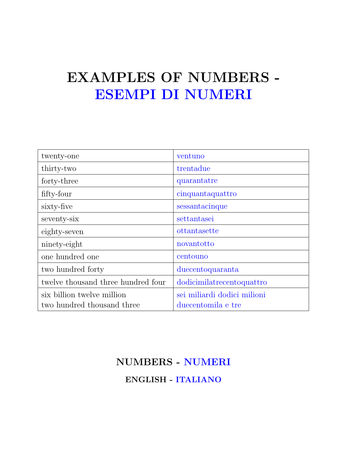## EXAMPLES OF NUMBERS - ESEMPI DI NUMERI

| twenty-one                         | ventuno                     |
|------------------------------------|-----------------------------|
| thirty-two                         | trentadue                   |
| forty-three                        | quarantatre                 |
| fifty-four                         | cinquantaquattro            |
| sixty-five                         | sessantacinque              |
| seventy-six                        | settantasei                 |
| eighty-seven                       | ottantasette                |
| ninety-eight                       | novantotto                  |
| one hundred one                    | centouno                    |
| two hundred forty                  | duecentoquaranta            |
| twelve thousand three hundred four | dodicimilated entoquattro   |
| six billion twelve million         | sei miliardi dodici milioni |
| two hundred thousand three         | duecentomila e tre          |

### NUMBERS - NUMERI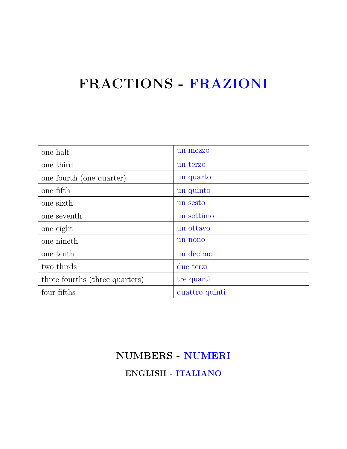## FRACTIONS - FRAZIONI

| one half                       | un mezzo       |
|--------------------------------|----------------|
| one third                      | un terzo       |
| one fourth (one quarter)       | un quarto      |
| one fifth                      | un quinto      |
| one sixth                      | un sesto       |
| one seventh                    | un settimo     |
| one eight                      | un ottavo      |
| one nineth                     | un nono        |
| one tenth                      | un decimo      |
| two thirds                     | due terzi      |
| three fourths (three quarters) | tre quarti     |
| four fifths                    | quattro quinti |

## NUMBERS - NUMERI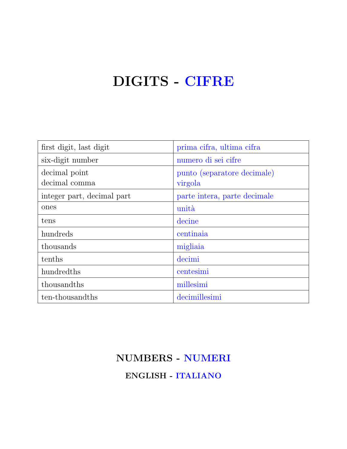# DIGITS - CIFRE

| first digit, last digit    | prima cifra, ultima cifra    |
|----------------------------|------------------------------|
| six-digit number           | numero di sei cifre          |
| decimal point              | punto (separatore decimale)  |
| decimal comma              | virgola                      |
| integer part, decimal part | parte intera, parte decimale |
| ones                       | unità                        |
| tens                       | decine                       |
| hundreds                   | centinaia                    |
| thousands                  | migliaia                     |
| tenths                     | decimi                       |
| hundredths                 | centesimi                    |
| thousandths                | millesimi                    |
| ten-thousandths            | decimillesimi                |

### NUMBERS - NUMERI